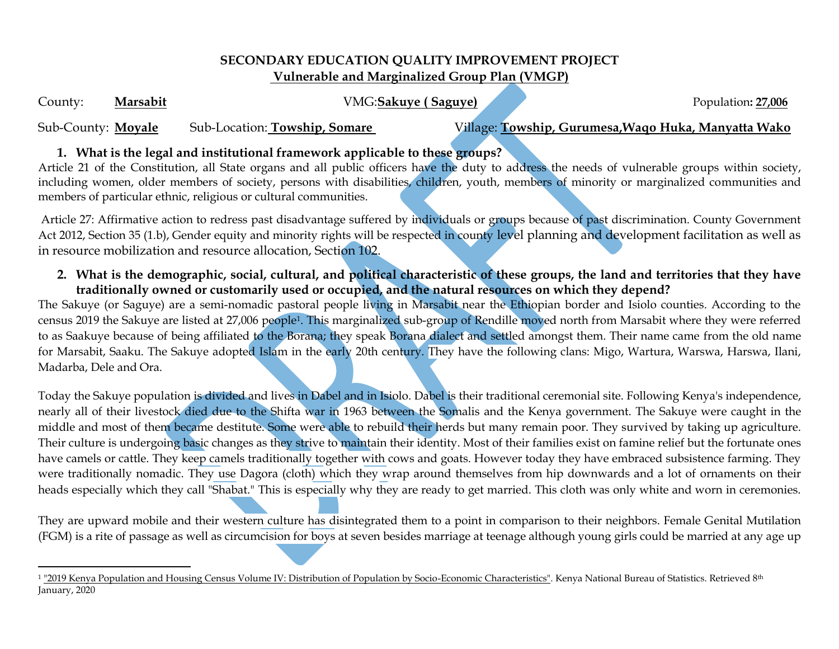## **SECONDARY EDUCATION QUALITY IMPROVEMENT PROJECT Vulnerable and Marginalized Group Plan (VMGP)**

County: Marsabit VMG:Sakuye (Saguye) **Population**: 27,006

Sub-County: **Moyale** Sub-Location: **Towship, Somare** Village: **Towship, Gurumesa,Waqo Huka, Manyatta Wako**

# **1. What is the legal and institutional framework applicable to these groups?**

Article 21 of the Constitution, all State organs and all public officers have the duty to address the needs of vulnerable groups within society, including women, older members of society, persons with disabilities, children, youth, members of minority or marginalized communities and members of particular ethnic, religious or cultural communities.

Article 27: Affirmative action to redress past disadvantage suffered by individuals or groups because of past discrimination. County Government Act 2012, Section 35 (1.b), Gender equity and minority rights will be respected in county level planning and development facilitation as well as in resource mobilization and resource allocation, Section 102.

**2. What is the demographic, social, cultural, and political characteristic of these groups, the land and territories that they have traditionally owned or customarily used or occupied, and the natural resources on which they depend?**

The Sakuye (or Saguye) are a semi-nomadic pastoral people living in Marsabit near the Ethiopian border and Isiolo counties. According to the census 2019 the Sakuye are listed at 27,006 people1. This marginalized sub-group of Rendille moved north from Marsabit where they were referred to as Saakuye because of being affiliated to the Borana; they speak Borana dialect and settled amongst them. Their name came from the old name for Marsabit, Saaku. The Sakuye adopted Islam in the early 20th century. They have the following clans: Migo, Wartura, Warswa, Harswa, Ilani, Madarba, Dele and Ora.

Today the Sakuye population is divided and lives in Dabel and in Isiolo. Dabel is their traditional ceremonial site. Following Kenya's independence, nearly all of their livestock died due to the Shifta war in 1963 between the Somalis and the Kenya government. The Sakuye were caught in the middle and most of them became destitute. Some were able to rebuild their herds but many remain poor. They survived by taking up agriculture. Their culture is undergoing basic changes as they strive to maintain their identity. Most of their families exist on famine relief but the fortunate ones have camels or cattle. They keep camels traditionally together with cows and goats. However today they have embraced subsistence farming. They were traditionally nomadic. They use Dagora (cloth) which they wrap around themselves from hip downwards and a lot of ornaments on their heads especially which they call "Shabat." This is especially why they are ready to get married. This cloth was only white and worn in ceremonies.

They are upward mobile and their western culture has disintegrated them to a point in comparison to their neighbors. Female Genital Mutilation (FGM) is a rite of passage as well as circumcision for boys at seven besides marriage at teenage although young girls could be married at any age up

 $\overline{a}$ <sup>1</sup> ["2019 Kenya Population and Housing Census Volume IV: Distribution of Population by Socio-Economic Characteristics".](https://www.knbs.or.ke/?wpdmpro=2019-kenya-population-and-housing-census-volume-iv-distribution-of-population-by-socio-economic-characteristics&wpdmdl=5730&ind=7HRl6KateNzKXCJaxxaHSh1qe6C1M6VHznmVmKGBKgO5qIMXjby1XHM2u_swXdiR) Kenya National Bureau of Statistics. Retrieved 8<sup>th</sup> January, 2020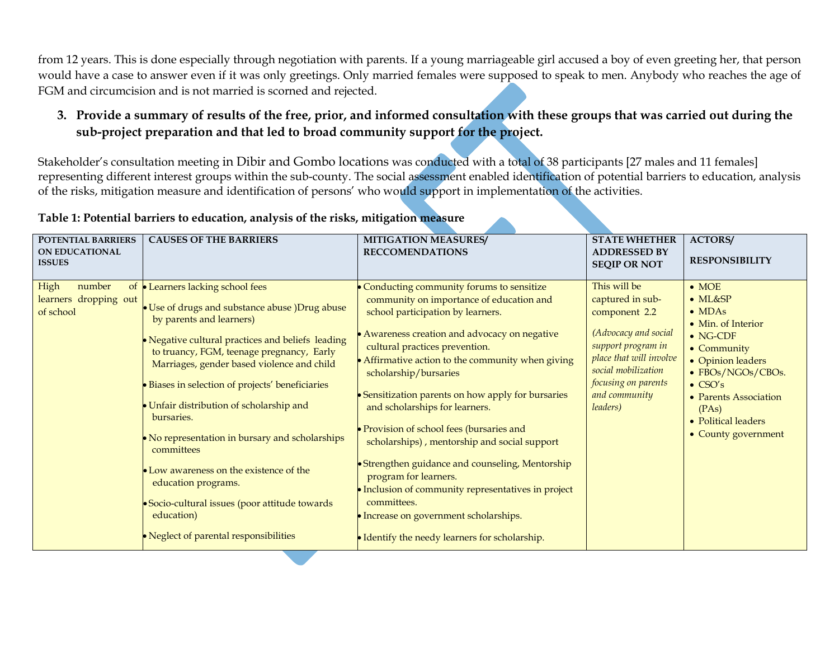from 12 years. This is done especially through negotiation with parents. If a young marriageable girl accused a boy of even greeting her, that person would have a case to answer even if it was only greetings. Only married females were supposed to speak to men. Anybody who reaches the age of FGM and circumcision and is not married is scorned and rejected.

## **3. Provide a summary of results of the free, prior, and informed consultation with these groups that was carried out during the sub-project preparation and that led to broad community support for the project.**

Stakeholder's consultation meeting in Dibir and Gombo locations was conducted with a total of 38 participants [27 males and 11 females] representing different interest groups within the sub-county. The social assessment enabled identification of potential barriers to education, analysis of the risks, mitigation measure and identification of persons' who would support in implementation of the activities.

| <b>POTENTIAL BARRIERS</b><br><b>ON EDUCATIONAL</b><br><b>ISSUES</b> | <b>CAUSES OF THE BARRIERS</b>                                                                                                                                                                                                                                                                                                                                                                                                                                                                                                                                                                                           | <b>MITIGATION MEASURES/</b><br><b>RECCOMENDATIONS</b>                                                                                                                                                                                                                                                                                                                                                                                                                                                                                                                                                                                                                                                                          | <b>STATE WHETHER</b><br><b>ADDRESSED BY</b><br><b>SEQIP OR NOT</b>                                                                                                                                    | <b>ACTORS/</b><br><b>RESPONSIBILITY</b>                                                                                                                                                                                                                  |
|---------------------------------------------------------------------|-------------------------------------------------------------------------------------------------------------------------------------------------------------------------------------------------------------------------------------------------------------------------------------------------------------------------------------------------------------------------------------------------------------------------------------------------------------------------------------------------------------------------------------------------------------------------------------------------------------------------|--------------------------------------------------------------------------------------------------------------------------------------------------------------------------------------------------------------------------------------------------------------------------------------------------------------------------------------------------------------------------------------------------------------------------------------------------------------------------------------------------------------------------------------------------------------------------------------------------------------------------------------------------------------------------------------------------------------------------------|-------------------------------------------------------------------------------------------------------------------------------------------------------------------------------------------------------|----------------------------------------------------------------------------------------------------------------------------------------------------------------------------------------------------------------------------------------------------------|
| High<br>number<br>of<br>learners dropping out<br>of school          | • Learners lacking school fees<br>• Use of drugs and substance abuse )Drug abuse<br>by parents and learners)<br>• Negative cultural practices and beliefs leading<br>to truancy, FGM, teenage pregnancy, Early<br>Marriages, gender based violence and child<br>· Biases in selection of projects' beneficiaries<br>• Unfair distribution of scholarship and<br>bursaries.<br>• No representation in bursary and scholarships<br>committees<br>• Low awareness on the existence of the<br>education programs.<br>• Socio-cultural issues (poor attitude towards<br>education)<br>• Neglect of parental responsibilities | Conducting community forums to sensitize<br>community on importance of education and<br>school participation by learners.<br>• Awareness creation and advocacy on negative<br>cultural practices prevention.<br>• Affirmative action to the community when giving<br>scholarship/bursaries<br>• Sensitization parents on how apply for bursaries<br>and scholarships for learners.<br>• Provision of school fees (bursaries and<br>scholarships), mentorship and social support<br>• Strengthen guidance and counseling, Mentorship<br>program for learners.<br>• Inclusion of community representatives in project<br>committees.<br>• Increase on government scholarships.<br>• Identify the needy learners for scholarship. | This will be<br>captured in sub-<br>component 2.2<br>(Advocacy and social<br>support program in<br>place that will involve<br>social mobilization<br>focusing on parents<br>and community<br>leaders) | $\bullet$ MOE<br>$\bullet$ ML&SP<br>$\bullet$ MDAs<br>• Min. of Interior<br>$\bullet$ NG-CDF<br>• Community<br>• Opinion leaders<br>• FBOs/NGOs/CBOs.<br>$\bullet$ CSO's<br>• Parents Association<br>(PAs)<br>• Political leaders<br>• County government |

#### **Table 1: Potential barriers to education, analysis of the risks, mitigation measure**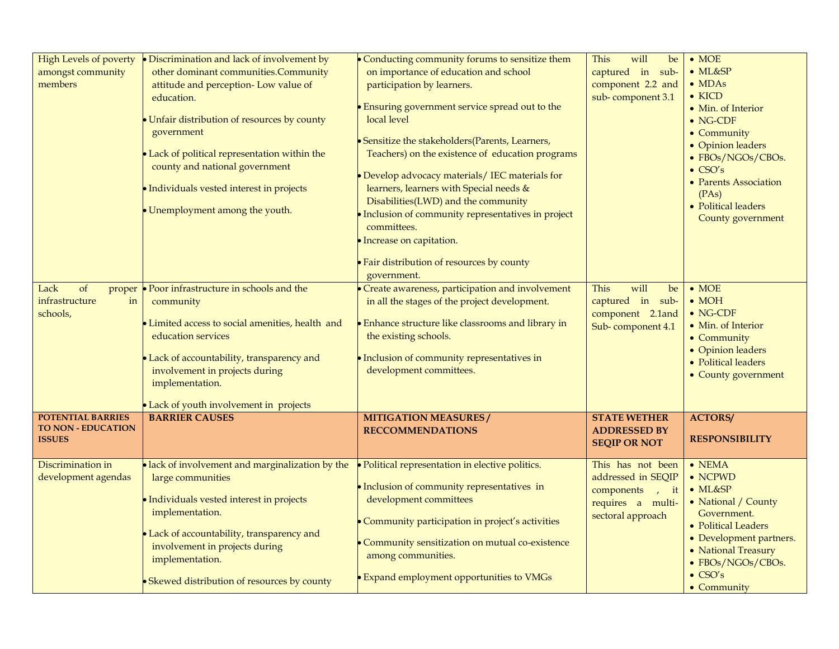| High Levels of poverty<br>amongst community<br>members          | • Discrimination and lack of involvement by<br>other dominant communities.Community<br>attitude and perception- Low value of<br>education.<br>Unfair distribution of resources by county<br>government<br>Lack of political representation within the<br>county and national government<br>Individuals vested interest in projects | • Conducting community forums to sensitize them<br>on importance of education and school<br>participation by learners.<br>• Ensuring government service spread out to the<br>local level<br>• Sensitize the stakeholders(Parents, Learners,<br>Teachers) on the existence of education programs<br>• Develop advocacy materials/ IEC materials for<br>learners, learners with Special needs &<br>Disabilities(LWD) and the community | will<br>This<br>be<br>captured in sub-<br>component 2.2 and<br>sub-component 3.1                     | $\bullet$ MOE<br>$\bullet$ ML&SP<br>$\bullet$ MDAs<br>$\bullet$ KICD<br>• Min. of Interior<br>$\bullet$ NG-CDF<br>• Community<br>• Opinion leaders<br>• FBOs/NGOs/CBOs.<br>$\bullet$ CSO's<br>• Parents Association<br>(PAs) |
|-----------------------------------------------------------------|------------------------------------------------------------------------------------------------------------------------------------------------------------------------------------------------------------------------------------------------------------------------------------------------------------------------------------|--------------------------------------------------------------------------------------------------------------------------------------------------------------------------------------------------------------------------------------------------------------------------------------------------------------------------------------------------------------------------------------------------------------------------------------|------------------------------------------------------------------------------------------------------|------------------------------------------------------------------------------------------------------------------------------------------------------------------------------------------------------------------------------|
|                                                                 | Unemployment among the youth.                                                                                                                                                                                                                                                                                                      | · Inclusion of community representatives in project<br>committees.<br>· Increase on capitation.<br>• Fair distribution of resources by county<br>government.                                                                                                                                                                                                                                                                         |                                                                                                      | • Political leaders<br>County government                                                                                                                                                                                     |
| Lack<br>of<br>proper<br>infrastructure<br>in<br>schools,        | • Poor infrastructure in schools and the<br>community<br>Limited access to social amenities, health and<br>education services<br>Lack of accountability, transparency and<br>involvement in projects during<br>implementation.<br>Lack of youth involvement in projects                                                            | Create awareness, participation and involvement<br>in all the stages of the project development.<br><b>Enhance structure like classrooms and library in</b><br>the existing schools.<br>• Inclusion of community representatives in<br>development committees.                                                                                                                                                                       | This<br>will<br>be<br>captured in sub-<br>component 2.1and<br>Sub-component 4.1                      | $\bullet$ MOE<br>$\bullet$ MOH<br>$\bullet$ NG-CDF<br>• Min. of Interior<br>• Community<br>• Opinion leaders<br>• Political leaders<br>• County government                                                                   |
| POTENTIAL BARRIES<br><b>TO NON - EDUCATION</b><br><b>ISSUES</b> | <b>BARRIER CAUSES</b>                                                                                                                                                                                                                                                                                                              | <b>MITIGATION MEASURES/</b><br><b>RECCOMMENDATIONS</b>                                                                                                                                                                                                                                                                                                                                                                               | <b>STATE WETHER</b><br><b>ADDRESSED BY</b><br><b>SEQIP OR NOT</b>                                    | <b>ACTORS/</b><br><b>RESPONSIBILITY</b>                                                                                                                                                                                      |
| Discrimination in<br>development agendas                        | · lack of involvement and marginalization by the<br>large communities<br>Individuals vested interest in projects<br>implementation.<br>Lack of accountability, transparency and<br>involvement in projects during<br>implementation.<br>• Skewed distribution of resources by county                                               | • Political representation in elective politics.<br>• Inclusion of community representatives in<br>development committees<br>Community participation in project's activities<br>Community sensitization on mutual co-existence<br>among communities.<br><b>Expand employment opportunities to VMGs</b>                                                                                                                               | This has not been<br>addressed in SEQIP<br>components , it<br>requires a multi-<br>sectoral approach | $\bullet$ NEMA<br>$\bullet$ NCPWD<br>$\bullet$ ML&SP<br>• National / County<br>Government.<br>• Political Leaders<br>• Development partners.<br>• National Treasury<br>• FBOs/NGOs/CBOs.<br>$\bullet$ CSO's<br>• Community   |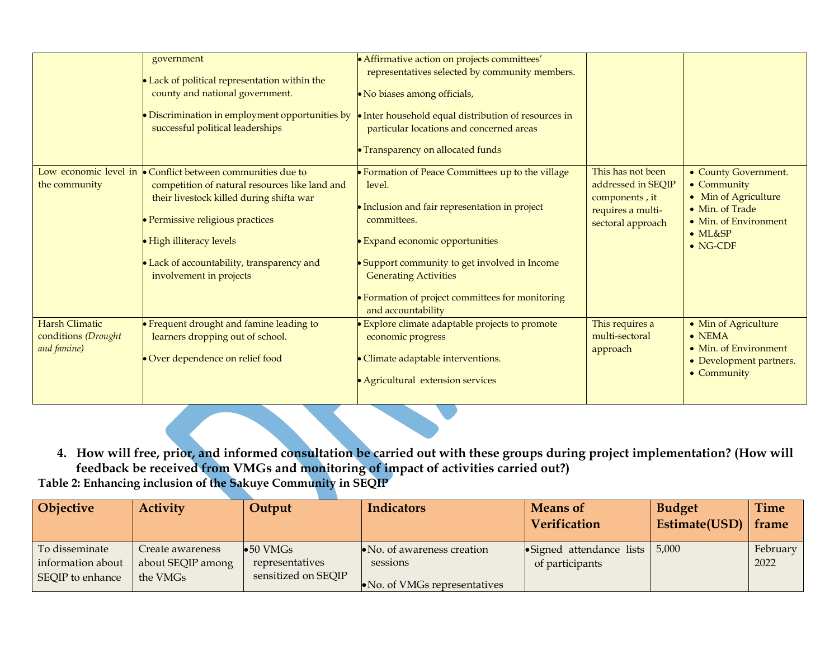|                                                             | government<br>• Lack of political representation within the<br>county and national government.<br>• Discrimination in employment opportunities by<br>successful political leaderships                                                                                                                      | · Affirmative action on projects committees'<br>representatives selected by community members.<br>• No biases among officials,<br>• Inter household equal distribution of resources in<br>particular locations and concerned areas<br>• Transparency on allocated funds                                                         |                                                                                                     |                                                                                                                                                |
|-------------------------------------------------------------|------------------------------------------------------------------------------------------------------------------------------------------------------------------------------------------------------------------------------------------------------------------------------------------------------------|---------------------------------------------------------------------------------------------------------------------------------------------------------------------------------------------------------------------------------------------------------------------------------------------------------------------------------|-----------------------------------------------------------------------------------------------------|------------------------------------------------------------------------------------------------------------------------------------------------|
| the community                                               | Low economic level in $\bullet$ Conflict between communities due to<br>competition of natural resources like land and<br>their livestock killed during shifta war<br>· Permissive religious practices<br>• High illiteracy levels<br>• Lack of accountability, transparency and<br>involvement in projects | • Formation of Peace Committees up to the village<br>level.<br>• Inclusion and fair representation in project<br>committees.<br><b>Expand economic opportunities</b><br>• Support community to get involved in Income<br><b>Generating Activities</b><br>• Formation of project committees for monitoring<br>and accountability | This has not been<br>addressed in SEQIP<br>components, it<br>requires a multi-<br>sectoral approach | • County Government.<br>• Community<br>• Min of Agriculture<br>• Min. of Trade<br>• Min. of Environment<br>$\bullet$ ML&SP<br>$\bullet$ NG-CDF |
| <b>Harsh Climatic</b><br>conditions (Drought<br>and famine) | • Frequent drought and famine leading to<br>learners dropping out of school.<br>Over dependence on relief food                                                                                                                                                                                             | Explore climate adaptable projects to promote<br>economic progress<br>· Climate adaptable interventions.<br>• Agricultural extension services                                                                                                                                                                                   | This requires a<br>multi-sectoral<br>approach                                                       | • Min of Agriculture<br>$\bullet$ NEMA<br>• Min. of Environment<br>• Development partners.<br>• Community                                      |

**4. How will free, prior, and informed consultation be carried out with these groups during project implementation? (How will feedback be received from VMGs and monitoring of impact of activities carried out?)**

**Table 2: Enhancing inclusion of the Sakuye Community in SEQIP**

| <b>Objective</b>  | <b>Activity</b>   | Output              | <b>Indicators</b>                     | <b>Means of</b>                   | <b>Budget</b>       | Time     |
|-------------------|-------------------|---------------------|---------------------------------------|-----------------------------------|---------------------|----------|
|                   |                   |                     |                                       | <b>Verification</b>               | Estimate(USD) frame |          |
| To disseminate    | Create awareness  | $\bullet$ 50 VMGs   | $\bullet$ No. of awareness creation   | • Signed attendance lists $5,000$ |                     | February |
| information about | about SEQIP among | representatives     | sessions                              | of participants                   |                     | 2022     |
| SEQIP to enhance  | the VMGs          | sensitized on SEQIP | $\bullet$ No. of VMGs representatives |                                   |                     |          |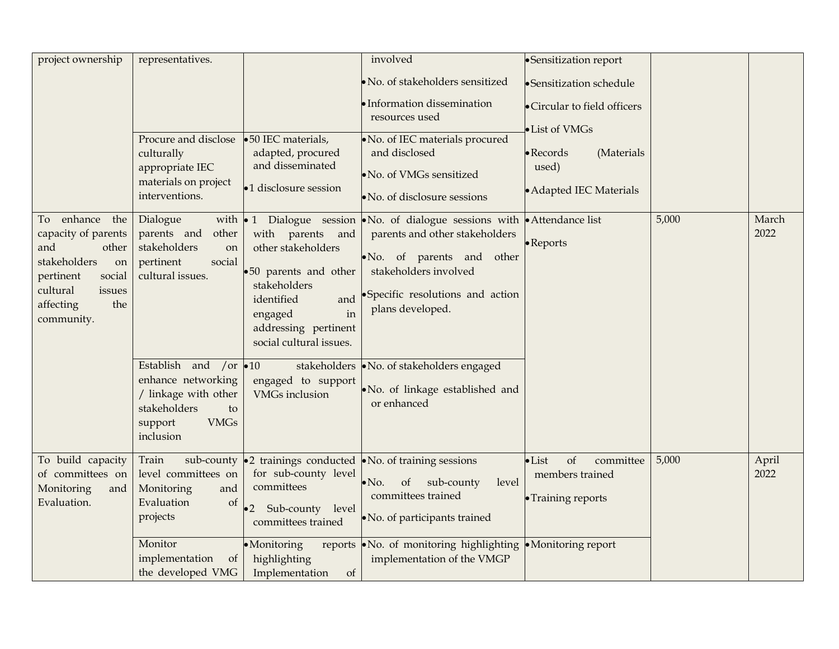| project ownership                                                                                                                                                | representatives.                                                                                                                                 |                                                                                                                                                                                                | involved                                                                                                                                                                                                                                                                                            | •Sensitization report                                                      |       |               |
|------------------------------------------------------------------------------------------------------------------------------------------------------------------|--------------------------------------------------------------------------------------------------------------------------------------------------|------------------------------------------------------------------------------------------------------------------------------------------------------------------------------------------------|-----------------------------------------------------------------------------------------------------------------------------------------------------------------------------------------------------------------------------------------------------------------------------------------------------|----------------------------------------------------------------------------|-------|---------------|
|                                                                                                                                                                  |                                                                                                                                                  |                                                                                                                                                                                                | · No. of stakeholders sensitized                                                                                                                                                                                                                                                                    | ·Sensitization schedule                                                    |       |               |
|                                                                                                                                                                  |                                                                                                                                                  |                                                                                                                                                                                                | Information dissemination<br>resources used                                                                                                                                                                                                                                                         | • Circular to field officers<br>· List of VMGs                             |       |               |
|                                                                                                                                                                  | Procure and disclose<br>culturally<br>appropriate IEC<br>materials on project<br>interventions.                                                  | •50 IEC materials,<br>adapted, procured<br>and disseminated<br>•1 disclosure session                                                                                                           | No. of IEC materials procured<br>and disclosed<br>No. of VMGs sensitized<br>No. of disclosure sessions                                                                                                                                                                                              | $\bullet$ Records<br>(Materials<br>used)<br>• Adapted IEC Materials        |       |               |
| enhance<br>the<br>To<br>capacity of parents<br>and<br>other<br>stakeholders<br>on<br>pertinent<br>social<br>cultural<br>issues<br>the<br>affecting<br>community. | Dialogue<br>parents and<br>other<br>stakeholders<br>on<br>pertinent<br>social<br>cultural issues.<br>Establish and /or 010<br>enhance networking | with parents and<br>other stakeholders<br>.50 parents and other<br>stakeholders<br>identified<br>and<br>in<br>engaged<br>addressing pertinent<br>social cultural issues.<br>engaged to support | with $\bullet$ 1 Dialogue session $\bullet$ No. of dialogue sessions with $\bullet$ Attendance list<br>parents and other stakeholders<br>No. of parents and<br>other<br>stakeholders involved<br>•Specific resolutions and action<br>plans developed.<br>stakeholders • No. of stakeholders engaged | $\bullet$ Reports                                                          | 5,000 | March<br>2022 |
|                                                                                                                                                                  | / linkage with other<br>stakeholders<br>to<br><b>VMGs</b><br>support<br>inclusion                                                                | <b>VMGs</b> inclusion                                                                                                                                                                          | . No. of linkage established and<br>or enhanced                                                                                                                                                                                                                                                     |                                                                            |       |               |
| To build capacity<br>of committees on<br>Monitoring<br>and<br>Evaluation.                                                                                        | Train<br>level committees on<br>Monitoring<br>and<br>Evaluation<br>of<br>projects                                                                | for sub-county level<br>committees<br>Sub-county<br>level<br>$\bullet 2$<br>committees trained                                                                                                 | sub-county $\bullet$ 2 trainings conducted $\bullet$ No. of training sessions<br>of<br>sub-county<br>level<br>$\bullet$ No.<br>committees trained<br>No. of participants trained                                                                                                                    | of<br>$\bullet$ List<br>committee<br>members trained<br>• Training reports | 5,000 | April<br>2022 |
|                                                                                                                                                                  | Monitor<br>implementation<br><sub>ot</sub><br>the developed VMG                                                                                  | ·Monitoring<br>highlighting<br>Implementation<br>of                                                                                                                                            | reports • No. of monitoring highlighting<br>implementation of the VMGP                                                                                                                                                                                                                              | • Monitoring report                                                        |       |               |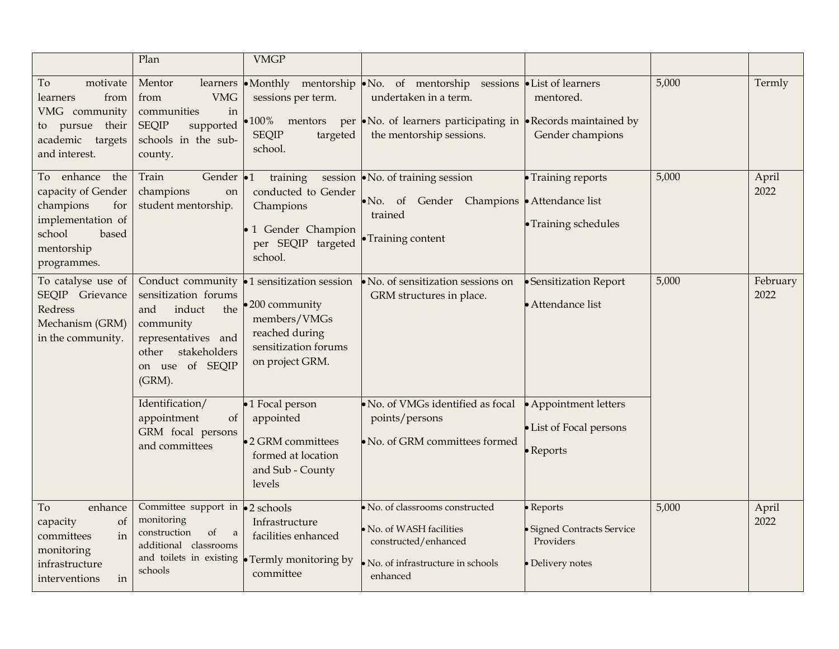|                                                                                                                                  | Plan                                                                                                                                                        | <b>VMGP</b>                                                                                                             |                                                                                                                                                                                      |                                                                          |       |                  |
|----------------------------------------------------------------------------------------------------------------------------------|-------------------------------------------------------------------------------------------------------------------------------------------------------------|-------------------------------------------------------------------------------------------------------------------------|--------------------------------------------------------------------------------------------------------------------------------------------------------------------------------------|--------------------------------------------------------------------------|-------|------------------|
| To<br>motivate<br>from<br>learners<br>VMG community<br>to pursue their<br>academic targets<br>and interest.                      | Mentor<br>learners<br><b>VMG</b><br>from<br>communities<br>in<br><b>SEQIP</b><br>supported<br>schools in the sub-<br>county.                                | sessions per term.<br>•100% mentors<br><b>SEQIP</b><br>targeted<br>school.                                              | •Monthly mentorship No. of mentorship sessions List of learners<br>undertaken in a term.<br>per •No. of learners participating in •Records maintained by<br>the mentorship sessions. | mentored.<br>Gender champions                                            | 5,000 | Termly           |
| To enhance<br>the<br>capacity of Gender<br>champions<br>for<br>implementation of<br>school<br>based<br>mentorship<br>programmes. | Train<br>Gender •1<br>champions<br>on<br>student mentorship.                                                                                                | training<br>conducted to Gender<br>Champions<br>· 1 Gender Champion<br>per SEQIP targeted<br>school.                    | session • No. of training session<br>Gender Champions Attendance list<br>$\bullet$ No. of<br>trained<br>• Training content                                                           | • Training reports<br>• Training schedules                               | 5,000 | April<br>2022    |
| To catalyse use of<br>SEQIP Grievance<br>Redress<br>Mechanism (GRM)<br>in the community.                                         | Conduct community<br>sensitization forums<br>induct<br>the<br>and<br>community<br>representatives and<br>stakeholders<br>other<br>on use of SEQIP<br>(GRM). | •1 sensitization session<br>•200 community<br>members/VMGs<br>reached during<br>sensitization forums<br>on project GRM. | $\bullet$ No. of sensitization sessions on<br>GRM structures in place.                                                                                                               | • Sensitization Report<br>• Attendance list                              | 5,000 | February<br>2022 |
|                                                                                                                                  | Identification/<br>appointment<br>of<br>GRM focal persons<br>and committees                                                                                 | ·1 Focal person<br>appointed<br>•2 GRM committees<br>formed at location<br>and Sub - County<br>levels                   | No. of VMGs identified as focal<br>points/persons<br>No. of GRM committees formed                                                                                                    | • Appointment letters<br>• List of Focal persons<br>• Reports            |       |                  |
| To<br>enhance<br>of<br>capacity<br>committees<br>in<br>monitoring<br>infrastructure<br>interventions<br>in                       | Committee support in •2 schools<br>monitoring<br>construction<br>of<br>a<br>additional classrooms<br>and toilets in existing<br>schools                     | Infrastructure<br>facilities enhanced<br>• Termly monitoring by<br>committee                                            | · No. of classrooms constructed<br>No. of WASH facilities<br>constructed/enhanced<br>No. of infrastructure in schools<br>enhanced                                                    | • Reports<br>· Signed Contracts Service<br>Providers<br>· Delivery notes | 5,000 | April<br>2022    |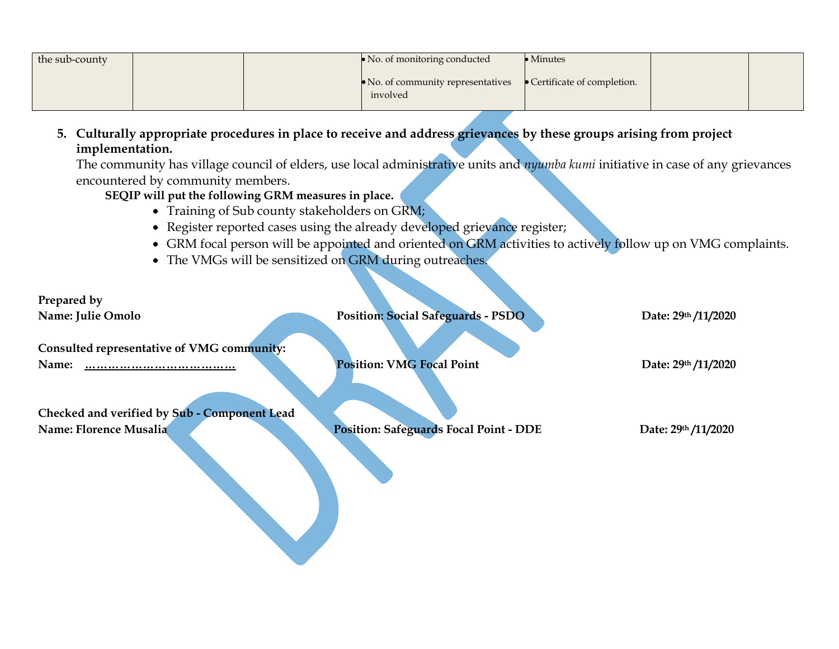| the sub-county |  | $\triangleright$ No. of monitoring conducted           | $\bullet$ Minutes            |  |
|----------------|--|--------------------------------------------------------|------------------------------|--|
|                |  | $\bullet$ No. of community representatives<br>involved | • Certificate of completion. |  |

**5. Culturally appropriate procedures in place to receive and address grievances by these groups arising from project implementation.** 

The community has village council of elders, use local administrative units and *nyumba kumi* initiative in case of any grievances encountered by community members.

## **SEQIP will put the following GRM measures in place.**

• Training of Sub county stakeholders on GRM;

V

- Register reported cases using the already developed grievance register;
- GRM focal person will be appointed and oriented on GRM activities to actively follow up on VMG complaints.
- The VMGs will be sensitized on GRM during outreaches.

| Prepared by                                  |                                               |                     |
|----------------------------------------------|-----------------------------------------------|---------------------|
| Name: Julie Omolo                            | <b>Position: Social Safeguards - PSDO</b>     | Date: 29th /11/2020 |
| Consulted representative of VMG community:   |                                               |                     |
| Name:<br>                                    | <b>Position: VMG Focal Point</b>              | Date: 29th /11/2020 |
| Checked and verified by Sub - Component Lead |                                               |                     |
| Name: Florence Musalia                       | <b>Position: Safeguards Focal Point - DDE</b> | Date: 29th /11/2020 |
|                                              |                                               |                     |